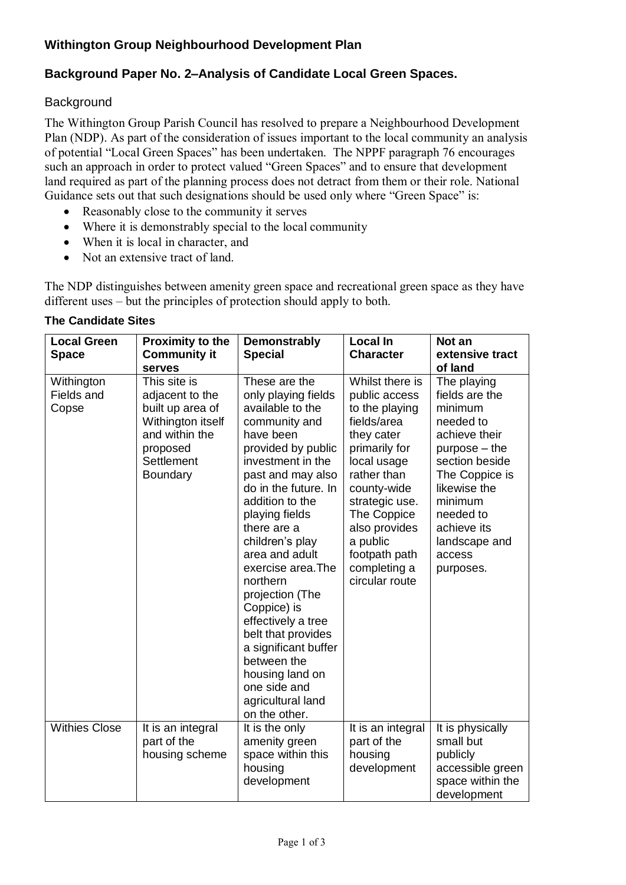## **Withington Group Neighbourhood Development Plan**

## **Background Paper No. 2–Analysis of Candidate Local Green Spaces.**

## **Background**

The Withington Group Parish Council has resolved to prepare a Neighbourhood Development Plan (NDP). As part of the consideration of issues important to the local community an analysis of potential "Local Green Spaces" has been undertaken. The NPPF paragraph 76 encourages such an approach in order to protect valued "Green Spaces" and to ensure that development land required as part of the planning process does not detract from them or their role. National Guidance sets out that such designations should be used only where "Green Space" is:

- Reasonably close to the community it serves
- Where it is demonstrably special to the local community
- When it is local in character, and
- Not an extensive tract of land.

The NDP distinguishes between amenity green space and recreational green space as they have different uses – but the principles of protection should apply to both.

| <b>The Candidate Sites</b> |
|----------------------------|
|                            |

| <b>Local Green</b><br><b>Space</b> | <b>Proximity to the</b><br><b>Community it</b><br>serves                                                                                       | <b>Demonstrably</b><br><b>Special</b>                                                                                                                                                                                                                                                                                                                                                                                                                                                                  | <b>Local In</b><br><b>Character</b>                                                                                                                                                                                                                            | Not an<br>extensive tract<br>of land                                                                                                                                                                                         |
|------------------------------------|------------------------------------------------------------------------------------------------------------------------------------------------|--------------------------------------------------------------------------------------------------------------------------------------------------------------------------------------------------------------------------------------------------------------------------------------------------------------------------------------------------------------------------------------------------------------------------------------------------------------------------------------------------------|----------------------------------------------------------------------------------------------------------------------------------------------------------------------------------------------------------------------------------------------------------------|------------------------------------------------------------------------------------------------------------------------------------------------------------------------------------------------------------------------------|
| Withington<br>Fields and<br>Copse  | This site is<br>adjacent to the<br>built up area of<br>Withington itself<br>and within the<br>proposed<br><b>Settlement</b><br><b>Boundary</b> | These are the<br>only playing fields<br>available to the<br>community and<br>have been<br>provided by public<br>investment in the<br>past and may also<br>do in the future. In<br>addition to the<br>playing fields<br>there are a<br>children's play<br>area and adult<br>exercise area.The<br>northern<br>projection (The<br>Coppice) is<br>effectively a tree<br>belt that provides<br>a significant buffer<br>between the<br>housing land on<br>one side and<br>agricultural land<br>on the other. | Whilst there is<br>public access<br>to the playing<br>fields/area<br>they cater<br>primarily for<br>local usage<br>rather than<br>county-wide<br>strategic use.<br>The Coppice<br>also provides<br>a public<br>footpath path<br>completing a<br>circular route | The playing<br>fields are the<br>minimum<br>needed to<br>achieve their<br>$purpose - the$<br>section beside<br>The Coppice is<br>likewise the<br>minimum<br>needed to<br>achieve its<br>landscape and<br>access<br>purposes. |
| <b>Withies Close</b>               | It is an integral<br>part of the<br>housing scheme                                                                                             | It is the only<br>amenity green<br>space within this<br>housing<br>development                                                                                                                                                                                                                                                                                                                                                                                                                         | It is an integral<br>part of the<br>housing<br>development                                                                                                                                                                                                     | It is physically<br>small but<br>publicly<br>accessible green<br>space within the<br>development                                                                                                                             |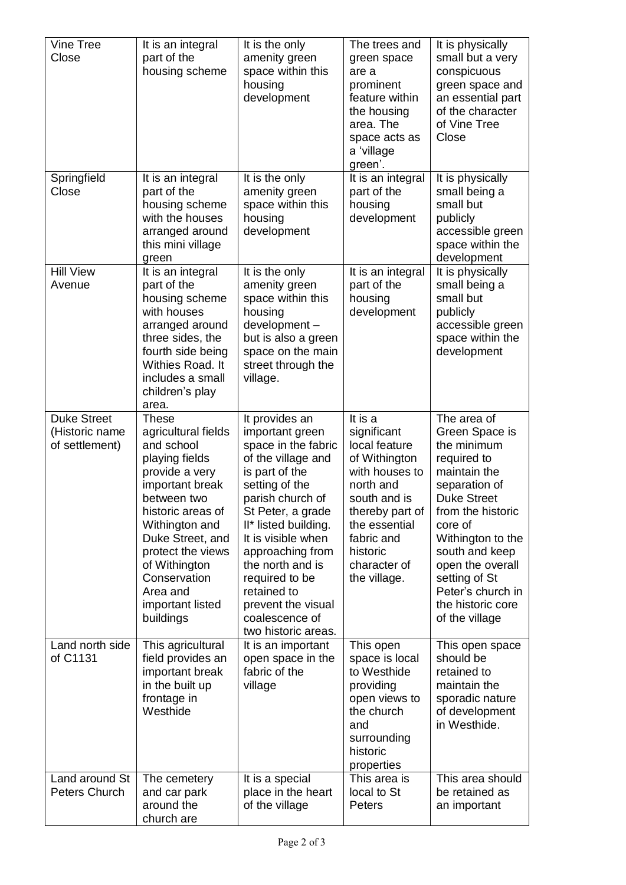| Vine Tree<br>Close                                     | It is an integral<br>part of the<br>housing scheme                                                                                                                                                                                                                                    | It is the only<br>amenity green<br>space within this<br>housing<br>development                                                                                                                                                                                                                                                                    | The trees and<br>green space<br>are a<br>prominent<br>feature within<br>the housing<br>area. The<br>space acts as<br>a 'village<br>green'.                                                            | It is physically<br>small but a very<br>conspicuous<br>green space and<br>an essential part<br>of the character<br>of Vine Tree<br>Close                                                                                                                                                   |
|--------------------------------------------------------|---------------------------------------------------------------------------------------------------------------------------------------------------------------------------------------------------------------------------------------------------------------------------------------|---------------------------------------------------------------------------------------------------------------------------------------------------------------------------------------------------------------------------------------------------------------------------------------------------------------------------------------------------|-------------------------------------------------------------------------------------------------------------------------------------------------------------------------------------------------------|--------------------------------------------------------------------------------------------------------------------------------------------------------------------------------------------------------------------------------------------------------------------------------------------|
| Springfield<br>Close                                   | It is an integral<br>part of the<br>housing scheme<br>with the houses<br>arranged around<br>this mini village<br>green                                                                                                                                                                | It is the only<br>amenity green<br>space within this<br>housing<br>development                                                                                                                                                                                                                                                                    | It is an integral<br>part of the<br>housing<br>development                                                                                                                                            | It is physically<br>small being a<br>small but<br>publicly<br>accessible green<br>space within the<br>development                                                                                                                                                                          |
| <b>Hill View</b><br>Avenue                             | It is an integral<br>part of the<br>housing scheme<br>with houses<br>arranged around<br>three sides, the<br>fourth side being<br>Withies Road. It<br>includes a small<br>children's play<br>area.                                                                                     | It is the only<br>amenity green<br>space within this<br>housing<br>development-<br>but is also a green<br>space on the main<br>street through the<br>village.                                                                                                                                                                                     | It is an integral<br>part of the<br>housing<br>development                                                                                                                                            | It is physically<br>small being a<br>small but<br>publicly<br>accessible green<br>space within the<br>development                                                                                                                                                                          |
| <b>Duke Street</b><br>(Historic name<br>of settlement) | <b>These</b><br>agricultural fields<br>and school<br>playing fields<br>provide a very<br>important break<br>between two<br>historic areas of<br>Withington and<br>Duke Street, and<br>protect the views<br>of Withington<br>Conservation<br>Area and<br>important listed<br>buildings | It provides an<br>important green<br>space in the fabric<br>of the village and<br>is part of the<br>setting of the<br>parish church of<br>St Peter, a grade<br>II* listed building.<br>It is visible when<br>approaching from<br>the north and is<br>required to be<br>retained to<br>prevent the visual<br>coalescence of<br>two historic areas. | It is a<br>significant<br>local feature<br>of Withington<br>with houses to<br>north and<br>south and is<br>thereby part of<br>the essential<br>fabric and<br>historic<br>character of<br>the village. | The area of<br>Green Space is<br>the minimum<br>required to<br>maintain the<br>separation of<br><b>Duke Street</b><br>from the historic<br>core of<br>Withington to the<br>south and keep<br>open the overall<br>setting of St<br>Peter's church in<br>the historic core<br>of the village |
| Land north side<br>of C1131                            | This agricultural<br>field provides an<br>important break<br>in the built up<br>frontage in<br>Westhide                                                                                                                                                                               | It is an important<br>open space in the<br>fabric of the<br>village                                                                                                                                                                                                                                                                               | This open<br>space is local<br>to Westhide<br>providing<br>open views to<br>the church<br>and<br>surrounding<br>historic<br>properties                                                                | This open space<br>should be<br>retained to<br>maintain the<br>sporadic nature<br>of development<br>in Westhide.                                                                                                                                                                           |
| Land around St<br>Peters Church                        | The cemetery<br>and car park<br>around the<br>church are                                                                                                                                                                                                                              | It is a special<br>place in the heart<br>of the village                                                                                                                                                                                                                                                                                           | This area is<br>local to St<br>Peters                                                                                                                                                                 | This area should<br>be retained as<br>an important                                                                                                                                                                                                                                         |